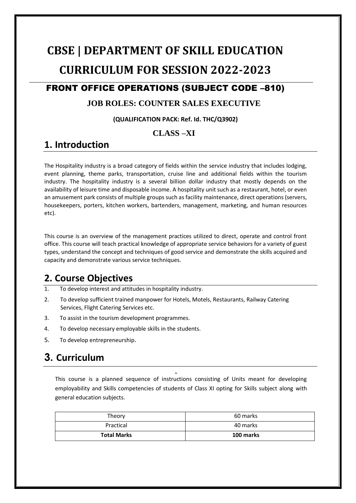# **CBSE | DEPARTMENT OF SKILL EDUCATION CURRICULUM FOR SESSION 2022-2023**

### FRONT OFFICE OPERATIONS (SUBJECT CODE –810)

#### **JOB ROLES: COUNTER SALES EXECUTIVE**

#### **(QUALIFICATION PACK: Ref. Id. THC/Q3902)**

#### **CLASS –XI**

### **1. Introduction**

The Hospitality industry is a broad category of fields within the service industry that includes lodging, event planning, theme parks, transportation, cruise line and additional fields within the tourism industry. The hospitality industry is a several billion dollar industry that mostly depends on the availability of leisure time and disposable income. A hospitality unit such as a restaurant, hotel, or even an amusement park consists of multiple groups such as facility maintenance, direct operations (servers, housekeepers, porters, kitchen workers, bartenders, management, marketing, and human resources etc).

This course is an overview of the management practices utilized to direct, operate and control front office. This course will teach practical knowledge of appropriate service behaviors for a variety of guest types, understand the concept and techniques of good service and demonstrate the skills acquired and capacity and demonstrate various service techniques.

### **2. Course Objectives**

- 1. To develop interest and attitudes in hospitality industry.
- 2. To develop sufficient trained manpower for Hotels, Motels, Restaurants, Railway Catering Services, Flight Catering Services etc.
- 3. To assist in the tourism development programmes.
- 4. To develop necessary employable skills in the students.
- 5. To develop entrepreneurship.

# **3. Curriculum**

This course is a planned sequence of instructions consisting of Units meant for developing employability and Skills competencies of students of Class XI opting for Skills subject along with general education subjects.

**6.**

| Theory             | 60 marks         |
|--------------------|------------------|
| Practical          | 40 marks         |
| <b>Total Marks</b> | <b>100 marks</b> |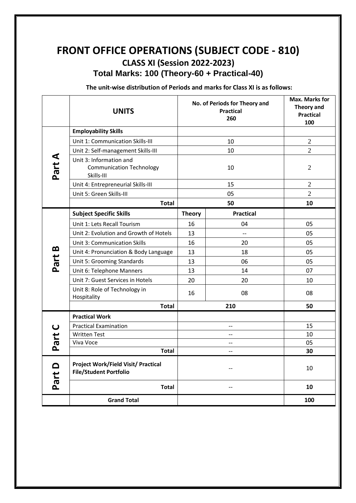# **FRONT OFFICE OPERATIONS (SUBJECT CODE - 810) CLASS XI (Session 2022-2023) Total Marks: 100 (Theory-60 + Practical-40)**

**The unit-wise distribution of Periods and marks for Class XI is as follows:**

|                       | <b>UNITS</b>                                                             | No. of Periods for Theory and<br><b>Practical</b><br>260 |                          | <b>Max. Marks for</b><br>Theory and<br><b>Practical</b><br>100 |
|-----------------------|--------------------------------------------------------------------------|----------------------------------------------------------|--------------------------|----------------------------------------------------------------|
| Part A                | <b>Employability Skills</b>                                              |                                                          |                          |                                                                |
|                       | Unit 1: Communication Skills-III                                         | 10                                                       |                          | $\mathfrak{2}$                                                 |
|                       | Unit 2: Self-management Skills-III                                       |                                                          | 10                       | $\overline{2}$                                                 |
|                       | Unit 3: Information and<br><b>Communication Technology</b><br>Skills-III |                                                          | 10                       | $\overline{2}$                                                 |
|                       | Unit 4: Entrepreneurial Skills-III                                       |                                                          | 15                       | $\sqrt{2}$                                                     |
|                       | Unit 5: Green Skills-III                                                 |                                                          | 05                       | $\overline{2}$                                                 |
|                       | <b>Total</b>                                                             | 50                                                       |                          | 10                                                             |
|                       | <b>Subject Specific Skills</b>                                           | <b>Theory</b>                                            | <b>Practical</b>         |                                                                |
| Part B                | Unit 1: Lets Recall Tourism                                              | 16                                                       | 04                       | 05                                                             |
|                       | Unit 2: Evolution and Growth of Hotels                                   | 13                                                       | $\overline{\phantom{0}}$ | 05                                                             |
|                       | <b>Unit 3: Communication Skills</b>                                      | 16                                                       | 20                       | 05                                                             |
|                       | Unit 4: Pronunciation & Body Language                                    | 13                                                       | 18                       | 05                                                             |
|                       | Unit 5: Grooming Standards                                               | 13                                                       | 06                       | 05                                                             |
|                       | Unit 6: Telephone Manners                                                | 13                                                       | 14                       | 07                                                             |
|                       | Unit 7: Guest Services in Hotels                                         | 20                                                       | 20                       | 10                                                             |
|                       | Unit 8: Role of Technology in<br>Hospitality                             | 16                                                       | 08                       | 08                                                             |
|                       | <b>Total</b>                                                             | 210                                                      |                          | 50                                                             |
|                       | <b>Practical Work</b>                                                    |                                                          |                          |                                                                |
| $\mathbf{\mathsf{C}}$ | <b>Practical Examination</b>                                             | --                                                       |                          | 15                                                             |
|                       | <b>Written Test</b>                                                      | $-$                                                      |                          | 10                                                             |
| Part                  | Viva Voce                                                                | --                                                       |                          | 05                                                             |
|                       | <b>Total</b>                                                             | $-$                                                      |                          | 30                                                             |
| <u>ា</u><br>Part      | Project Work/Field Visit/ Practical<br><b>File/Student Portfolio</b>     |                                                          |                          | 10                                                             |
|                       | <b>Total</b>                                                             |                                                          | --                       | 10                                                             |
|                       | <b>Grand Total</b>                                                       |                                                          |                          | 100                                                            |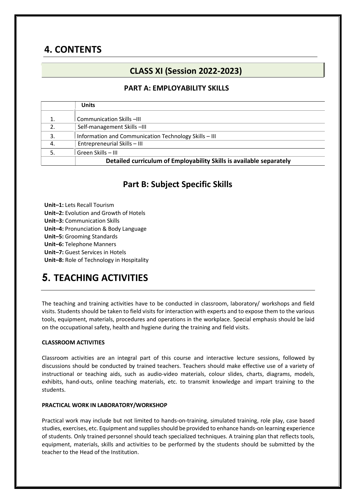# **4. CONTENTS**

### **CLASS XI (Session 2022-2023)**

#### **PART A: EMPLOYABILITY SKILLS**

|    | <b>Units</b>                                                        |
|----|---------------------------------------------------------------------|
|    | Communication Skills -III                                           |
| 2. | Self-management Skills-III                                          |
| 3. | Information and Communication Technology Skills - III               |
| 4. | Entrepreneurial Skills - III                                        |
| 5. | Green Skills - III                                                  |
|    | Detailed curriculum of Employability Skills is available separately |

### **Part B: Subject Specific Skills**

**Unit–1:** Lets Recall Tourism **Unit–2:** Evolution and Growth of Hotels **Unit–3:** Communication Skills **Unit–4:** Pronunciation & Body Language **Unit–5:** Grooming Standards **Unit–6:** Telephone Manners **Unit–7:** Guest Services in Hotels

**Unit–8:** Role of Technology in Hospitality

# **5. TEACHING ACTIVITIES**

The teaching and training activities have to be conducted in classroom, laboratory/ workshops and field visits. Students should be taken to field visits for interaction with experts and to expose them to the various tools, equipment, materials, procedures and operations in the workplace. Special emphasis should be laid on the occupational safety, health and hygiene during the training and field visits.

#### **CLASSROOM ACTIVITIES**

Classroom activities are an integral part of this course and interactive lecture sessions, followed by discussions should be conducted by trained teachers. Teachers should make effective use of a variety of instructional or teaching aids, such as audio-video materials, colour slides, charts, diagrams, models, exhibits, hand-outs, online teaching materials, etc. to transmit knowledge and impart training to the students.

#### **PRACTICAL WORK IN LABORATORY/WORKSHOP**

Practical work may include but not limited to hands-on-training, simulated training, role play, case based studies, exercises, etc. Equipment and supplies should be provided to enhance hands-on learning experience of students. Only trained personnel should teach specialized techniques. A training plan that reflects tools, equipment, materials, skills and activities to be performed by the students should be submitted by the teacher to the Head of the Institution.